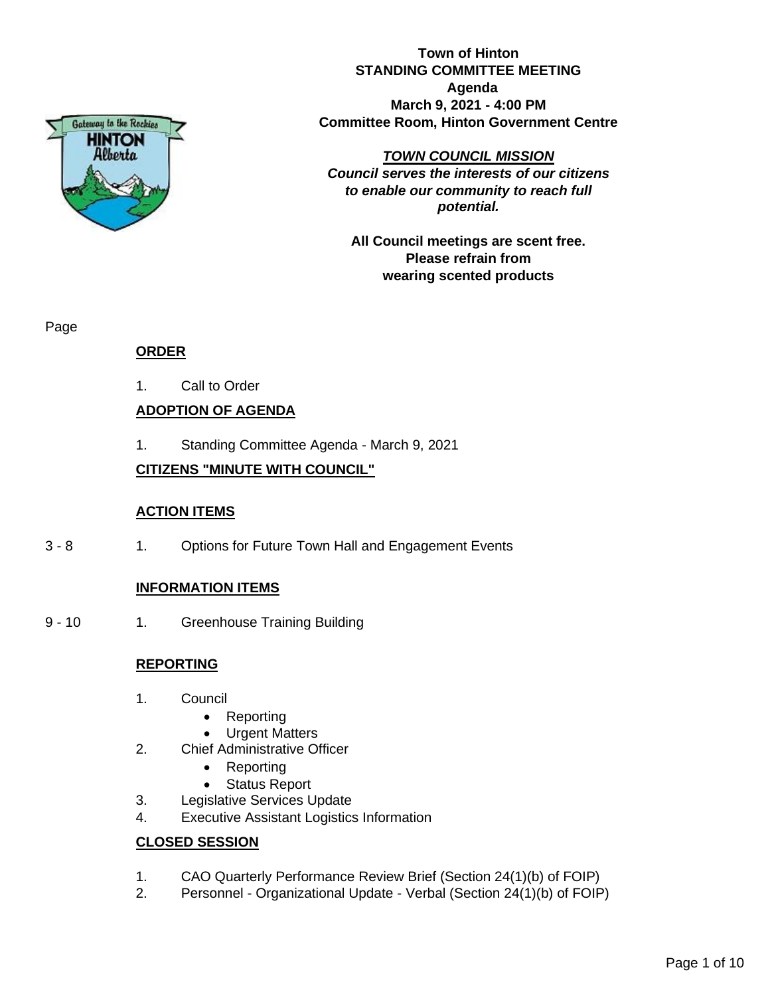

**Town of Hinton STANDING COMMITTEE MEETING Agenda March 9, 2021 - 4:00 PM Committee Room, Hinton Government Centre**

#### *TOWN COUNCIL MISSION*

*Council serves the interests of our citizens to enable our community to reach full potential.*

**All Council meetings are scent free. Please refrain from wearing scented products**

Page

# **ORDER**

1. Call to Order

# **ADOPTION OF AGENDA**

1. Standing Committee Agenda - March 9, 2021

# **CITIZENS "MINUTE WITH COUNCIL"**

## **ACTION ITEMS**

3 - 8 1. Options for Future Town Hall and Engagement Events

# **INFORMATION ITEMS**

9 - 10 1. Greenhouse Training Building

## **REPORTING**

- 1. Council
	- Reporting
	- **Urgent Matters**
- 2. Chief Administrative Officer
	- Reporting
	- Status Report
- 3. Legislative Services Update
- 4. Executive Assistant Logistics Information

## **CLOSED SESSION**

- 1. CAO Quarterly Performance Review Brief (Section 24(1)(b) of FOIP)
- 2. Personnel Organizational Update Verbal (Section 24(1)(b) of FOIP)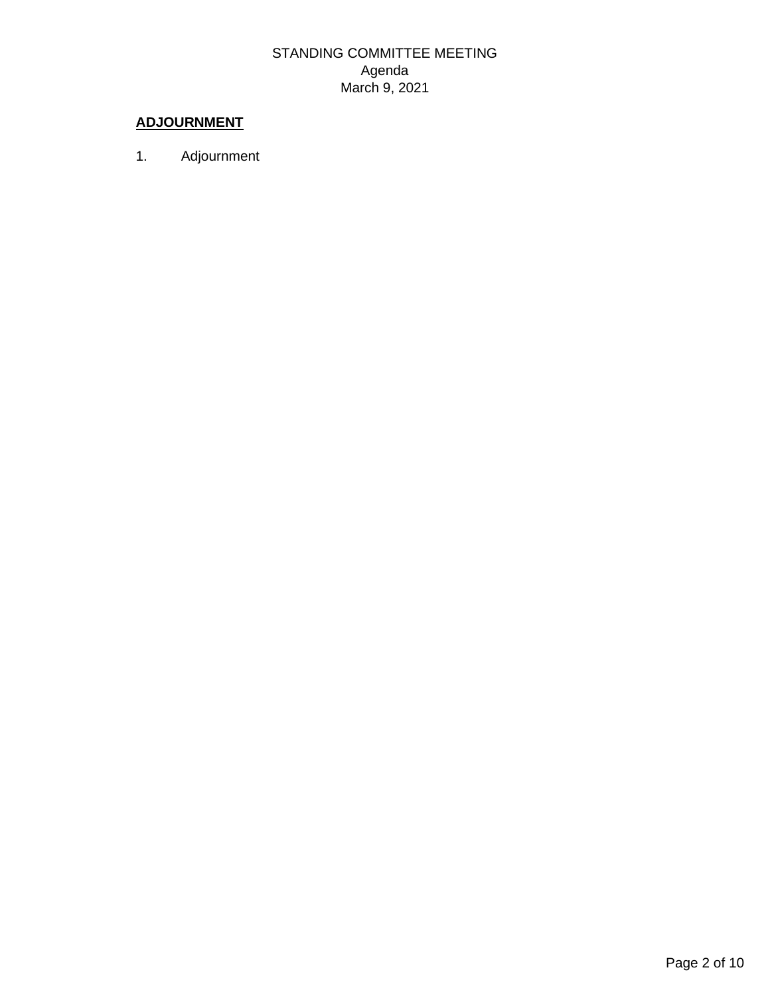# STANDING COMMITTEE MEETING Agenda March 9, 2021

# **ADJOURNMENT**

1. Adjournment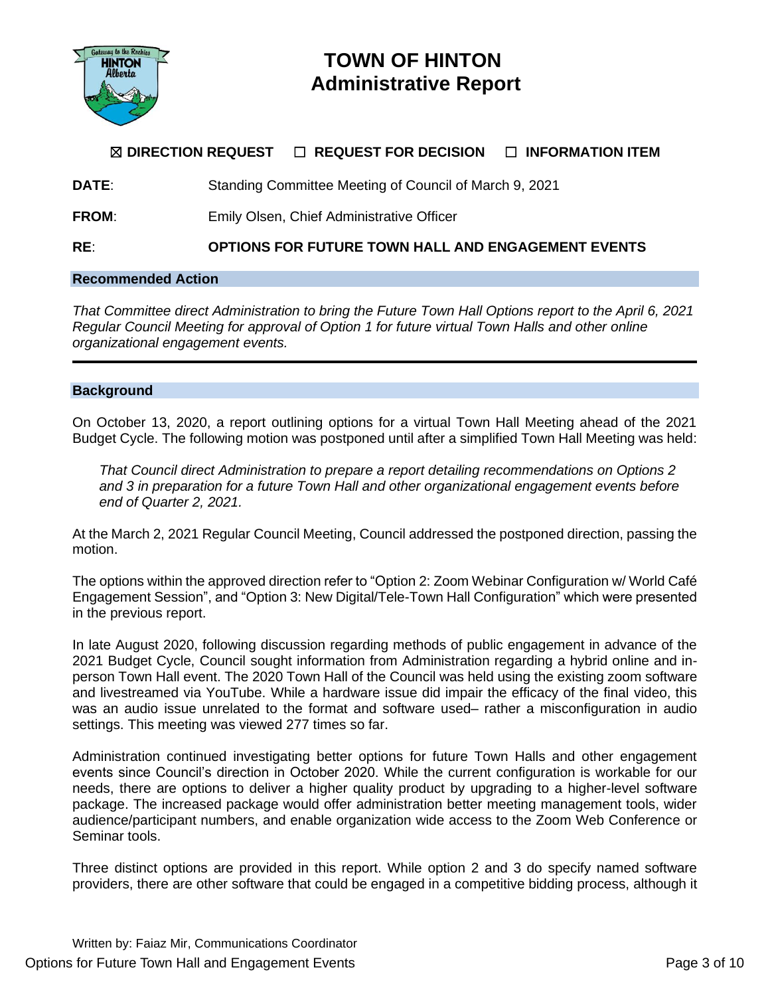

# **TOWN OF HINTON Administrative Report**

# ☒ **DIRECTION REQUEST** ☐ **REQUEST FOR DECISION** ☐ **INFORMATION ITEM**

**DATE:** Standing Committee Meeting of Council of March 9, 2021

**FROM:** Emily Olsen, Chief Administrative Officer

**RE**: **OPTIONS FOR FUTURE TOWN HALL AND ENGAGEMENT EVENTS**

## **Recommended Action**

*That Committee direct Administration to bring the Future Town Hall Options report to the April 6, 2021 Regular Council Meeting for approval of Option 1 for future virtual Town Halls and other online organizational engagement events.*

#### **Background**

On October 13, 2020, a report outlining options for a virtual Town Hall Meeting ahead of the 2021 Budget Cycle. The following motion was postponed until after a simplified Town Hall Meeting was held:

*That Council direct Administration to prepare a report detailing recommendations on Options 2 and 3 in preparation for a future Town Hall and other organizational engagement events before end of Quarter 2, 2021.*

At the March 2, 2021 Regular Council Meeting, Council addressed the postponed direction, passing the motion.

The options within the approved direction refer to "Option 2: Zoom Webinar Configuration w/ World Café Engagement Session", and "Option 3: New Digital/Tele-Town Hall Configuration" which were presented in the previous report.

In late August 2020, following discussion regarding methods of public engagement in advance of the 2021 Budget Cycle, Council sought information from Administration regarding a hybrid online and inperson Town Hall event. The 2020 Town Hall of the Council was held using the existing zoom software and livestreamed via YouTube. While a hardware issue did impair the efficacy of the final video, this was an audio issue unrelated to the format and software used– rather a misconfiguration in audio settings. This meeting was viewed 277 times so far.

Administration continued investigating better options for future Town Halls and other engagement events since Council's direction in October 2020. While the current configuration is workable for our needs, there are options to deliver a higher quality product by upgrading to a higher-level software package. The increased package would offer administration better meeting management tools, wider audience/participant numbers, and enable organization wide access to the Zoom Web Conference or Seminar tools.

Three distinct options are provided in this report. While option 2 and 3 do specify named software providers, there are other software that could be engaged in a competitive bidding process, although it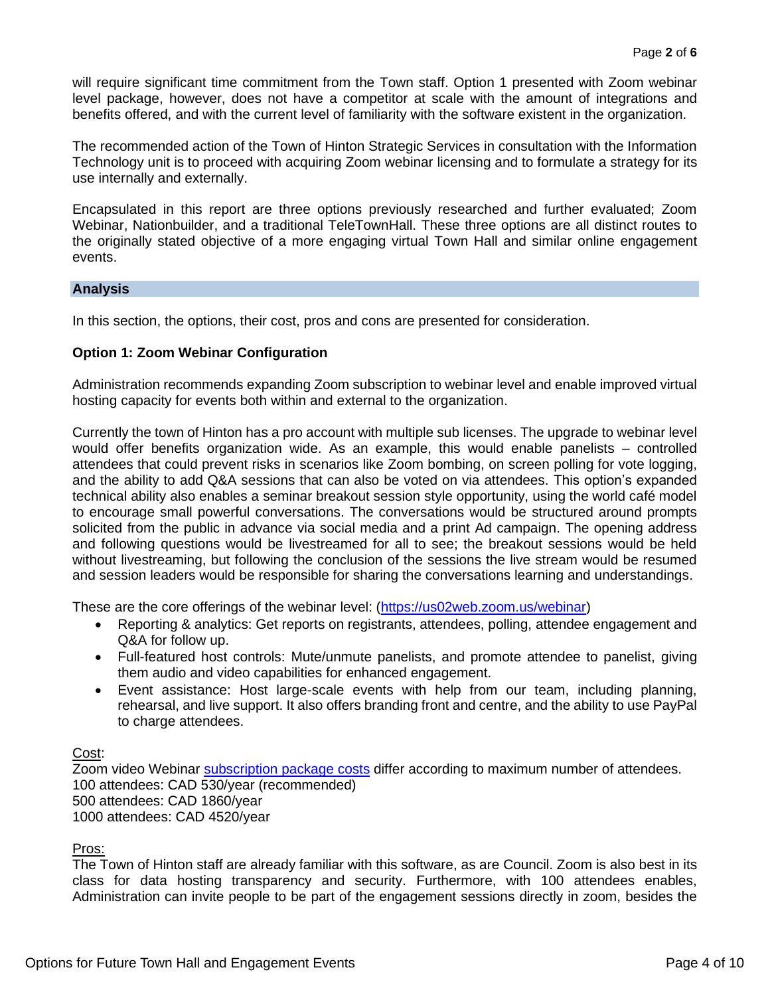will require significant time commitment from the Town staff. Option 1 presented with Zoom webinar level package, however, does not have a competitor at scale with the amount of integrations and benefits offered, and with the current level of familiarity with the software existent in the organization.

The recommended action of the Town of Hinton Strategic Services in consultation with the Information Technology unit is to proceed with acquiring Zoom webinar licensing and to formulate a strategy for its use internally and externally.

Encapsulated in this report are three options previously researched and further evaluated; Zoom Webinar, Nationbuilder, and a traditional TeleTownHall. These three options are all distinct routes to the originally stated objective of a more engaging virtual Town Hall and similar online engagement events.

#### **Analysis**

In this section, the options, their cost, pros and cons are presented for consideration.

#### **Option 1: Zoom Webinar Configuration**

Administration recommends expanding Zoom subscription to webinar level and enable improved virtual hosting capacity for events both within and external to the organization.

Currently the town of Hinton has a pro account with multiple sub licenses. The upgrade to webinar level would offer benefits organization wide. As an example, this would enable panelists – controlled attendees that could prevent risks in scenarios like Zoom bombing, on screen polling for vote logging, and the ability to add Q&A sessions that can also be voted on via attendees. This option's expanded technical ability also enables a seminar breakout session style opportunity, using the world café model to encourage small powerful conversations. The conversations would be structured around prompts solicited from the public in advance via social media and a print Ad campaign. The opening address and following questions would be livestreamed for all to see; the breakout sessions would be held without livestreaming, but following the conclusion of the sessions the live stream would be resumed and session leaders would be responsible for sharing the conversations learning and understandings.

These are the core offerings of the webinar level: [\(https://us02web.zoom.us/webinar\)](https://us02web.zoom.us/webinar)

- Reporting & analytics: Get reports on registrants, attendees, polling, attendee engagement and Q&A for follow up.
- Full-featured host controls: Mute/unmute panelists, and promote attendee to panelist, giving them audio and video capabilities for enhanced engagement.
- Event assistance: Host large-scale events with help from our team, including planning, rehearsal, and live support. It also offers branding front and centre, and the ability to use PayPal to charge attendees.

Cost:

Zoom video Webinar **subscription package costs** differ according to maximum number of attendees. 100 attendees: CAD 530/year (recommended) 500 attendees: CAD 1860/year 1000 attendees: CAD 4520/year

## Pros:

The Town of Hinton staff are already familiar with this software, as are Council. Zoom is also best in its class for data hosting transparency and security. Furthermore, with 100 attendees enables, Administration can invite people to be part of the engagement sessions directly in zoom, besides the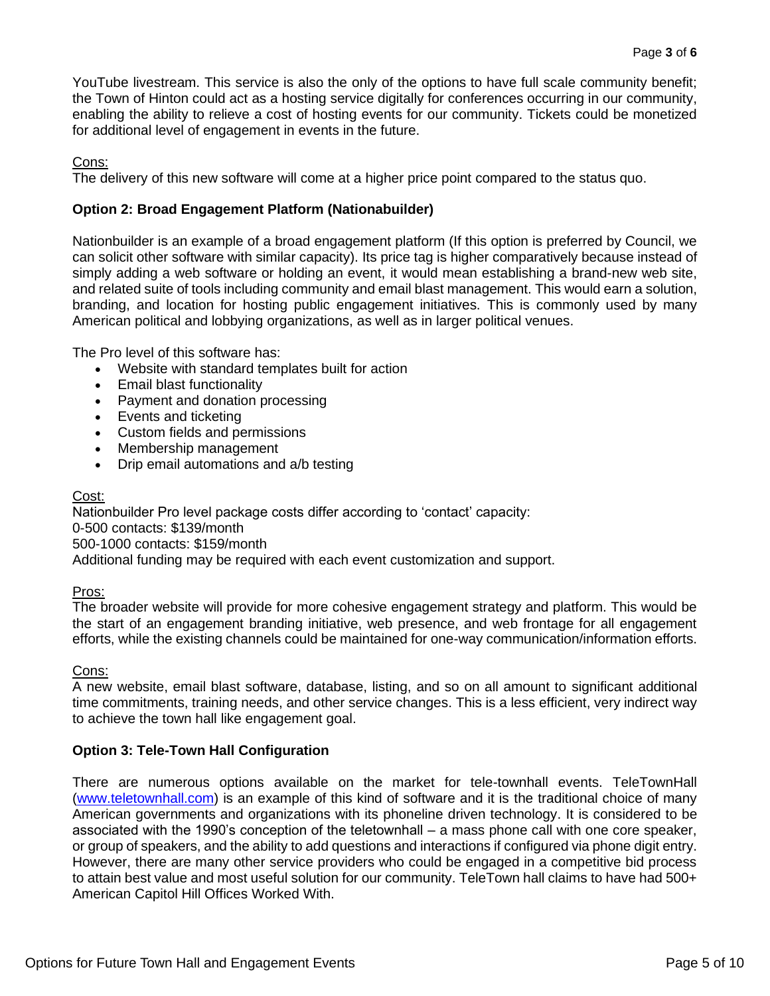YouTube livestream. This service is also the only of the options to have full scale community benefit; the Town of Hinton could act as a hosting service digitally for conferences occurring in our community, enabling the ability to relieve a cost of hosting events for our community. Tickets could be monetized for additional level of engagement in events in the future.

## Cons:

The delivery of this new software will come at a higher price point compared to the status quo.

# **Option 2: Broad Engagement Platform (Nationabuilder)**

Nationbuilder is an example of a broad engagement platform (If this option is preferred by Council, we can solicit other software with similar capacity). Its price tag is higher comparatively because instead of simply adding a web software or holding an event, it would mean establishing a brand-new web site, and related suite of tools including community and email blast management. This would earn a solution, branding, and location for hosting public engagement initiatives. This is commonly used by many American political and lobbying organizations, as well as in larger political venues.

The Pro level of this software has:

- Website with standard templates built for action
- Email blast functionality
- Payment and donation processing
- Events and ticketing
- Custom fields and permissions
- Membership management
- Drip email automations and a/b testing

## Cost:

Nationbuilder Pro level package costs differ according to 'contact' capacity: 0-500 contacts: \$139/month 500-1000 contacts: \$159/month Additional funding may be required with each event customization and support.

## Pros:

The broader website will provide for more cohesive engagement strategy and platform. This would be the start of an engagement branding initiative, web presence, and web frontage for all engagement efforts, while the existing channels could be maintained for one-way communication/information efforts.

## Cons:

A new website, email blast software, database, listing, and so on all amount to significant additional time commitments, training needs, and other service changes. This is a less efficient, very indirect way to achieve the town hall like engagement goal.

## **Option 3: Tele-Town Hall Configuration**

There are numerous options available on the market for tele-townhall events. TeleTownHall [\(www.teletownhall.com\)](http://www.teletownhall.com/) is an example of this kind of software and it is the traditional choice of many American governments and organizations with its phoneline driven technology. It is considered to be associated with the 1990's conception of the teletownhall – a mass phone call with one core speaker, or group of speakers, and the ability to add questions and interactions if configured via phone digit entry. However, there are many other service providers who could be engaged in a competitive bid process to attain best value and most useful solution for our community. TeleTown hall claims to have had 500+ American Capitol Hill Offices Worked With.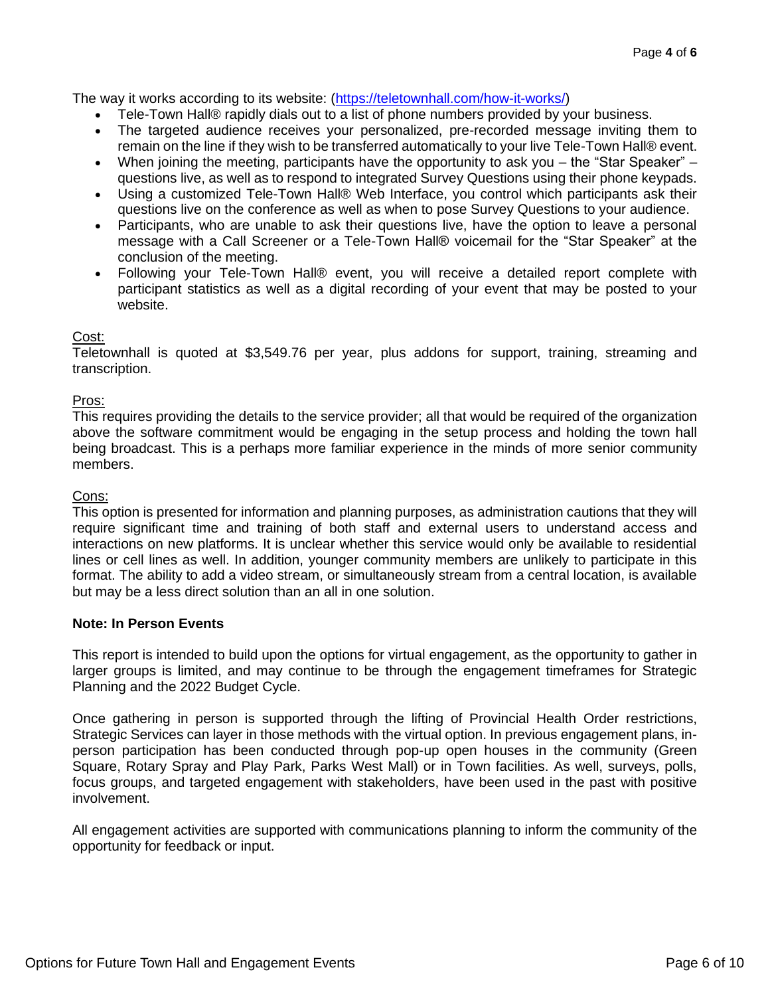The way it works according to its website: [\(https://teletownhall.com/how-it-works/\)](https://teletownhall.com/how-it-works/)

- Tele-Town Hall® rapidly dials out to a list of phone numbers provided by your business.
- The targeted audience receives your personalized, pre-recorded message inviting them to remain on the line if they wish to be transferred automatically to your live Tele-Town Hall® event.
- When joining the meeting, participants have the opportunity to ask you the "Star Speaker" questions live, as well as to respond to integrated Survey Questions using their phone keypads.
- Using a customized Tele-Town Hall® Web Interface, you control which participants ask their questions live on the conference as well as when to pose Survey Questions to your audience.
- Participants, who are unable to ask their questions live, have the option to leave a personal message with a Call Screener or a Tele-Town Hall® voicemail for the "Star Speaker" at the conclusion of the meeting.
- Following your Tele-Town Hall® event, you will receive a detailed report complete with participant statistics as well as a digital recording of your event that may be posted to your website.

## Cost:

Teletownhall is quoted at \$3,549.76 per year, plus addons for support, training, streaming and transcription.

#### Pros:

This requires providing the details to the service provider; all that would be required of the organization above the software commitment would be engaging in the setup process and holding the town hall being broadcast. This is a perhaps more familiar experience in the minds of more senior community members.

#### Cons:

This option is presented for information and planning purposes, as administration cautions that they will require significant time and training of both staff and external users to understand access and interactions on new platforms. It is unclear whether this service would only be available to residential lines or cell lines as well. In addition, younger community members are unlikely to participate in this format. The ability to add a video stream, or simultaneously stream from a central location, is available but may be a less direct solution than an all in one solution.

#### **Note: In Person Events**

This report is intended to build upon the options for virtual engagement, as the opportunity to gather in larger groups is limited, and may continue to be through the engagement timeframes for Strategic Planning and the 2022 Budget Cycle.

Once gathering in person is supported through the lifting of Provincial Health Order restrictions, Strategic Services can layer in those methods with the virtual option. In previous engagement plans, inperson participation has been conducted through pop-up open houses in the community (Green Square, Rotary Spray and Play Park, Parks West Mall) or in Town facilities. As well, surveys, polls, focus groups, and targeted engagement with stakeholders, have been used in the past with positive involvement.

All engagement activities are supported with communications planning to inform the community of the opportunity for feedback or input.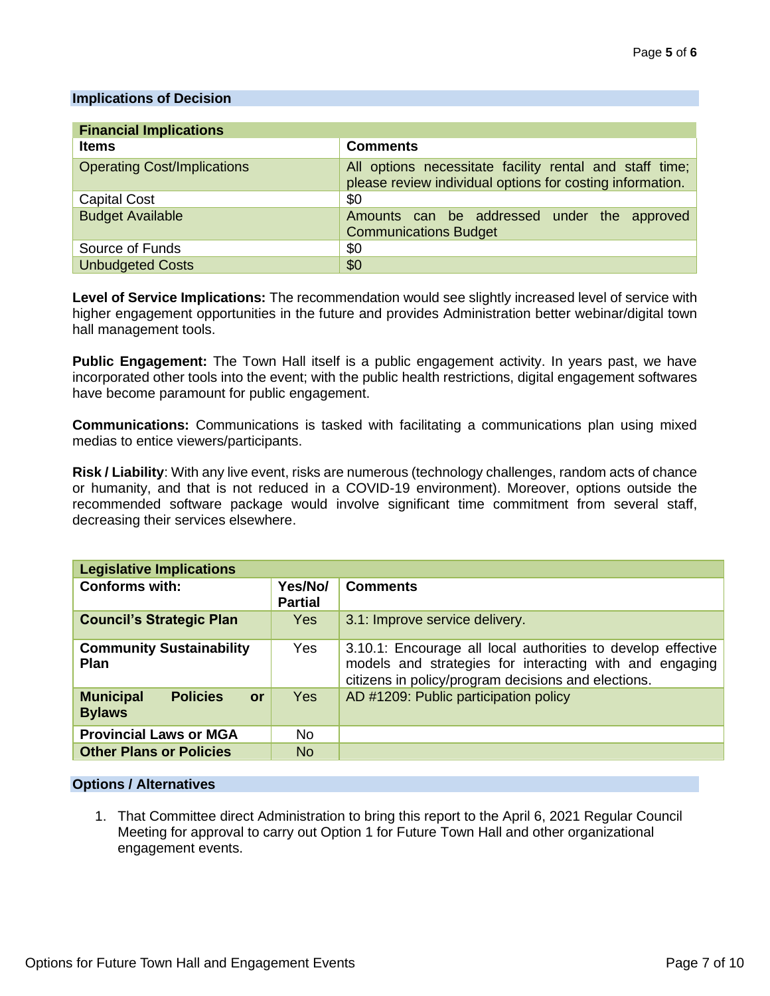#### **Implications of Decision**

| <b>Financial Implications</b>      |                                                                                                                      |  |
|------------------------------------|----------------------------------------------------------------------------------------------------------------------|--|
| <b>Items</b>                       | <b>Comments</b>                                                                                                      |  |
| <b>Operating Cost/Implications</b> | All options necessitate facility rental and staff time;<br>please review individual options for costing information. |  |
| <b>Capital Cost</b>                | \$0                                                                                                                  |  |
| <b>Budget Available</b>            | Amounts can be addressed under the approved<br><b>Communications Budget</b>                                          |  |
| Source of Funds                    | \$0                                                                                                                  |  |
| <b>Unbudgeted Costs</b>            | \$0                                                                                                                  |  |

**Level of Service Implications:** The recommendation would see slightly increased level of service with higher engagement opportunities in the future and provides Administration better webinar/digital town hall management tools.

**Public Engagement:** The Town Hall itself is a public engagement activity. In years past, we have incorporated other tools into the event; with the public health restrictions, digital engagement softwares have become paramount for public engagement.

**Communications:** Communications is tasked with facilitating a communications plan using mixed medias to entice viewers/participants.

**Risk / Liability**: With any live event, risks are numerous (technology challenges, random acts of chance or humanity, and that is not reduced in a COVID-19 environment). Moreover, options outside the recommended software package would involve significant time commitment from several staff, decreasing their services elsewhere.

| <b>Legislative Implications</b>                            |                           |                                                                                                                                                                                |
|------------------------------------------------------------|---------------------------|--------------------------------------------------------------------------------------------------------------------------------------------------------------------------------|
| <b>Conforms with:</b>                                      | Yes/No/<br><b>Partial</b> | <b>Comments</b>                                                                                                                                                                |
| <b>Council's Strategic Plan</b>                            | Yes                       | 3.1: Improve service delivery.                                                                                                                                                 |
| <b>Community Sustainability</b><br><b>Plan</b>             | Yes                       | 3.10.1: Encourage all local authorities to develop effective<br>models and strategies for interacting with and engaging<br>citizens in policy/program decisions and elections. |
| <b>Municipal</b><br><b>Policies</b><br>or<br><b>Bylaws</b> | <b>Yes</b>                | AD #1209: Public participation policy                                                                                                                                          |
| <b>Provincial Laws or MGA</b>                              | No.                       |                                                                                                                                                                                |
| <b>Other Plans or Policies</b>                             | <b>No</b>                 |                                                                                                                                                                                |

#### **Options / Alternatives**

1. That Committee direct Administration to bring this report to the April 6, 2021 Regular Council Meeting for approval to carry out Option 1 for Future Town Hall and other organizational engagement events.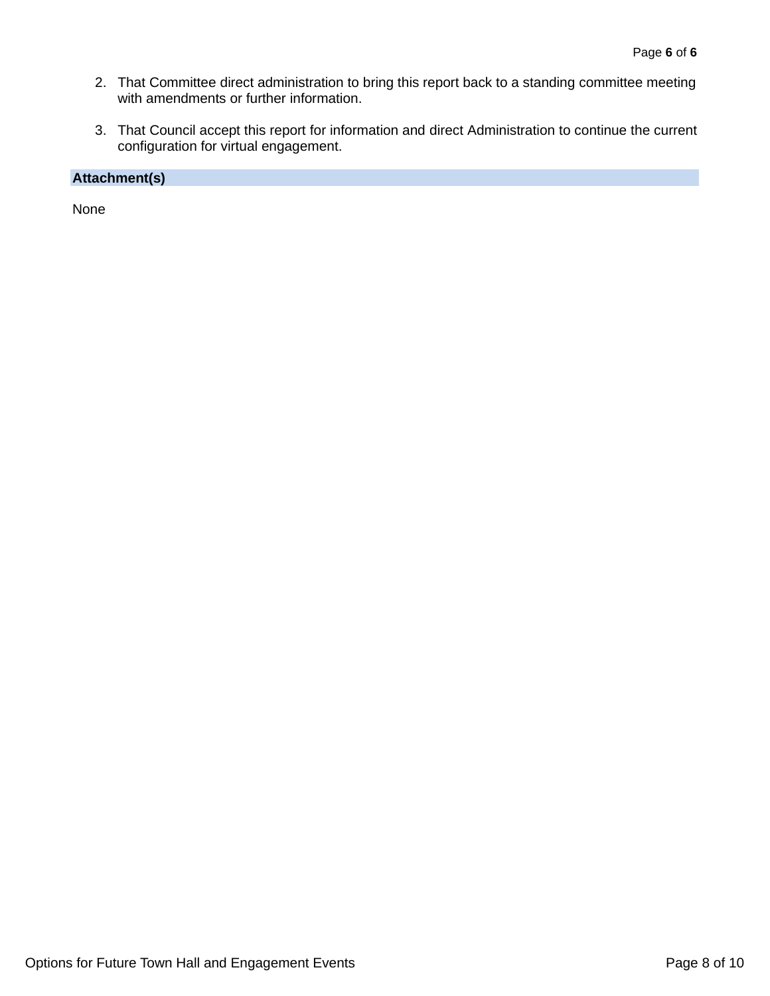- 2. That Committee direct administration to bring this report back to a standing committee meeting with amendments or further information.
- 3. That Council accept this report for information and direct Administration to continue the current configuration for virtual engagement.

# **Attachment(s)**

None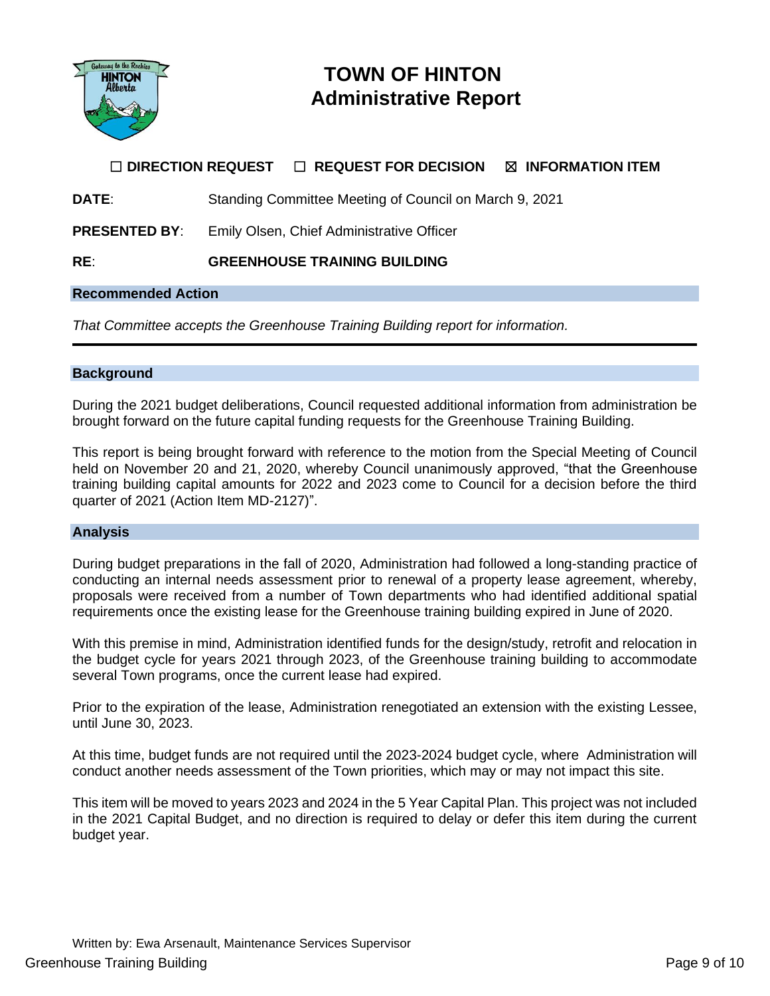

# **TOWN OF HINTON Administrative Report**

# ☐ **DIRECTION REQUEST** ☐ **REQUEST FOR DECISION** ☒ **INFORMATION ITEM**

**DATE:** Standing Committee Meeting of Council on March 9, 2021

**PRESENTED BY**: Emily Olsen, Chief Administrative Officer

**RE**: **GREENHOUSE TRAINING BUILDING** 

#### **Recommended Action**

*That Committee accepts the Greenhouse Training Building report for information.*

#### **Background**

During the 2021 budget deliberations, Council requested additional information from administration be brought forward on the future capital funding requests for the Greenhouse Training Building.

This report is being brought forward with reference to the motion from the Special Meeting of Council held on November 20 and 21, 2020, whereby Council unanimously approved, "that the Greenhouse training building capital amounts for 2022 and 2023 come to Council for a decision before the third quarter of 2021 (Action Item MD-2127)".

#### **Analysis**

During budget preparations in the fall of 2020, Administration had followed a long-standing practice of conducting an internal needs assessment prior to renewal of a property lease agreement, whereby, proposals were received from a number of Town departments who had identified additional spatial requirements once the existing lease for the Greenhouse training building expired in June of 2020.

With this premise in mind, Administration identified funds for the design/study, retrofit and relocation in the budget cycle for years 2021 through 2023, of the Greenhouse training building to accommodate several Town programs, once the current lease had expired.

Prior to the expiration of the lease, Administration renegotiated an extension with the existing Lessee, until June 30, 2023.

At this time, budget funds are not required until the 2023-2024 budget cycle, where Administration will conduct another needs assessment of the Town priorities, which may or may not impact this site.

This item will be moved to years 2023 and 2024 in the 5 Year Capital Plan. This project was not included in the 2021 Capital Budget, and no direction is required to delay or defer this item during the current budget year.